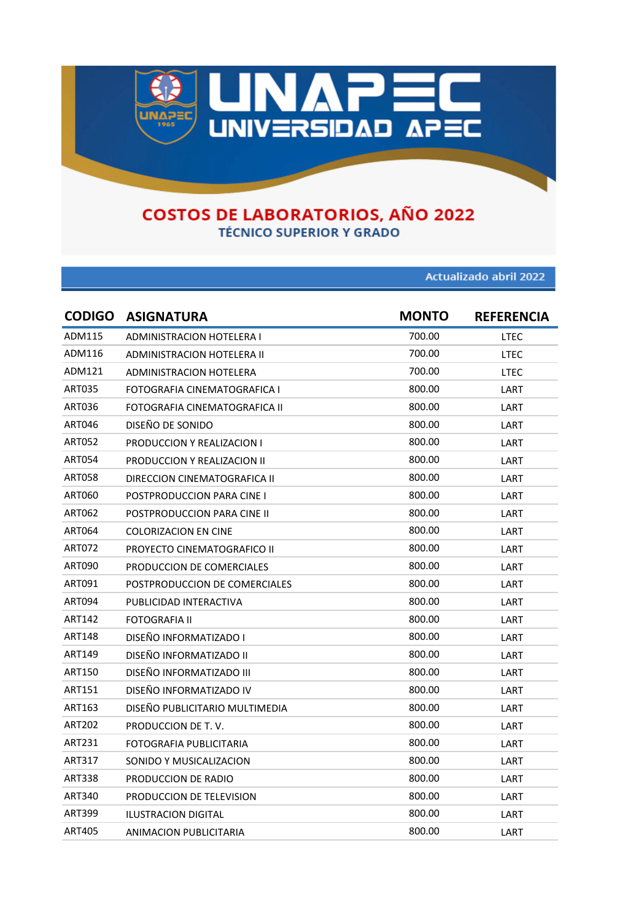

**TÉCNICO SUPERIOR Y GRADO** 

Actualizado abril 2022

|               | <b>CODIGO ASIGNATURA</b>          | <b>MONTO</b> | <b>REFERENCIA</b> |
|---------------|-----------------------------------|--------------|-------------------|
| ADM115        | <b>ADMINISTRACION HOTELERA I</b>  | 700.00       | LTEC              |
| ADM116        | ADMINISTRACION HOTELERA II        | 700.00       | LTEC              |
| ADM121        | ADMINISTRACION HOTELERA           | 700.00       | LTEC              |
| <b>ART035</b> | FOTOGRAFIA CINEMATOGRAFICA I      | 800.00       | LART              |
| ART036        | FOTOGRAFIA CINEMATOGRAFICA II     | 800.00       | LART              |
| ART046        | DISEÑO DE SONIDO                  | 800.00       | LART              |
| <b>ART052</b> | <b>PRODUCCION Y REALIZACION I</b> | 800.00       | LART              |
| ART054        | PRODUCCION Y REALIZACION II       | 800.00       | LART              |
| ART058        | DIRECCION CINEMATOGRAFICA II      | 800.00       | LART              |
| ART060        | POSTPRODUCCION PARA CINE I        | 800.00       | LART              |
| ART062        | POSTPRODUCCION PARA CINE II       | 800.00       | LART              |
| ART064        | <b>COLORIZACION EN CINE</b>       | 800.00       | LART              |
| <b>ART072</b> | PROYECTO CINEMATOGRAFICO II       | 800.00       | LART              |
| ART090        | PRODUCCION DE COMERCIALES         | 800.00       | LART              |
| ART091        | POSTPRODUCCION DE COMERCIALES     | 800.00       | LART              |
| <b>ART094</b> | PUBLICIDAD INTERACTIVA            | 800.00       | LART              |
| ART142        | FOTOGRAFIA II                     | 800.00       | LART              |
| <b>ART148</b> | DISEÑO INFORMATIZADO I            | 800.00       | LART              |
| ART149        | DISEÑO INFORMATIZADO II           | 800.00       | LART              |
| ART150        | DISEÑO INFORMATIZADO III          | 800.00       | LART              |
| ART151        | DISEÑO INFORMATIZADO IV           | 800.00       | LART              |
| ART163        | DISEÑO PUBLICITARIO MULTIMEDIA    | 800.00       | LART              |
| <b>ART202</b> | PRODUCCION DE T.V.                | 800.00       | LART              |
| ART231        | FOTOGRAFIA PUBLICITARIA           | 800.00       | LART              |
| ART317        | SONIDO Y MUSICALIZACION           | 800.00       | LART              |
| <b>ART338</b> | PRODUCCION DE RADIO               | 800.00       | LART              |
| ART340        | PRODUCCION DE TELEVISION          | 800.00       | LART              |
| ART399        | <b>ILUSTRACION DIGITAL</b>        | 800.00       | LART              |
| ART405        | ANIMACION PUBLICITARIA            | 800.00       | LART              |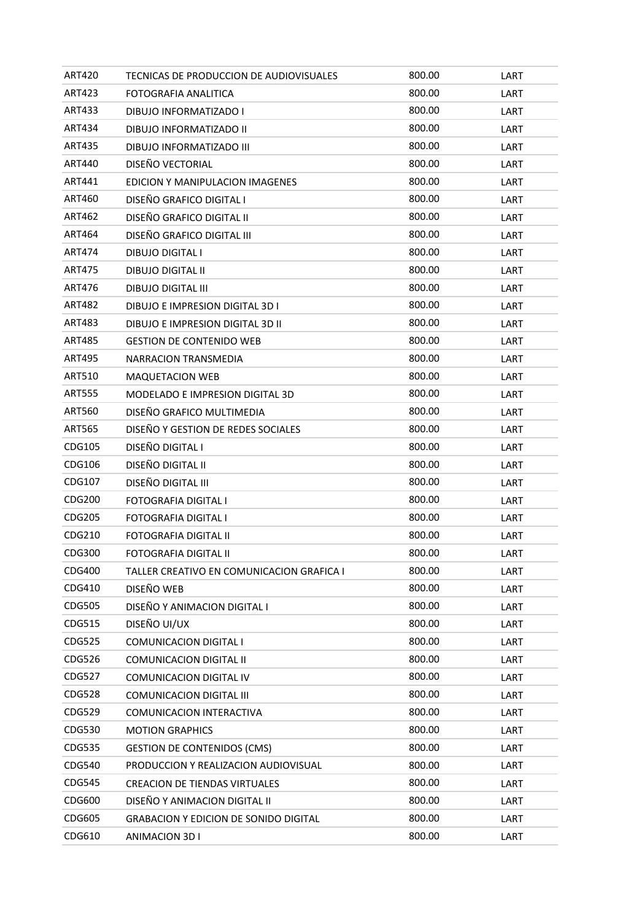| ART420        | TECNICAS DE PRODUCCION DE AUDIOVISUALES      | 800.00 | LART |
|---------------|----------------------------------------------|--------|------|
| <b>ART423</b> | FOTOGRAFIA ANALITICA                         | 800.00 | LART |
| ART433        | DIBUJO INFORMATIZADO I                       | 800.00 | LART |
| ART434        | DIBUJO INFORMATIZADO II                      | 800.00 | LART |
| <b>ART435</b> | DIBUJO INFORMATIZADO III                     | 800.00 | LART |
| ART440        | DISEÑO VECTORIAL                             | 800.00 | LART |
| ART441        | EDICION Y MANIPULACION IMAGENES              | 800.00 | LART |
| ART460        | DISEÑO GRAFICO DIGITAL I                     | 800.00 | LART |
| ART462        | DISEÑO GRAFICO DIGITAL II                    | 800.00 | LART |
| ART464        | DISEÑO GRAFICO DIGITAL III                   | 800.00 | LART |
| ART474        | <b>DIBUJO DIGITAL I</b>                      | 800.00 | LART |
| ART475        | <b>DIBUJO DIGITAL II</b>                     | 800.00 | LART |
| ART476        | <b>DIBUJO DIGITAL III</b>                    | 800.00 | LART |
| ART482        | DIBUJO E IMPRESION DIGITAL 3D I              | 800.00 | LART |
| <b>ART483</b> | DIBUJO E IMPRESION DIGITAL 3D II             | 800.00 | LART |
| <b>ART485</b> | <b>GESTION DE CONTENIDO WEB</b>              | 800.00 | LART |
| ART495        | NARRACION TRANSMEDIA                         | 800.00 | LART |
| ART510        | <b>MAQUETACION WEB</b>                       | 800.00 | LART |
| <b>ART555</b> | <b>MODELADO E IMPRESION DIGITAL 3D</b>       | 800.00 | LART |
| ART560        | DISEÑO GRAFICO MULTIMEDIA                    | 800.00 | LART |
| <b>ART565</b> | DISEÑO Y GESTION DE REDES SOCIALES           | 800.00 | LART |
| CDG105        | DISEÑO DIGITAL I                             | 800.00 | LART |
| CDG106        | DISEÑO DIGITAL II                            | 800.00 | LART |
| CDG107        | DISEÑO DIGITAL III                           | 800.00 | LART |
| CDG200        | FOTOGRAFIA DIGITAL I                         | 800.00 | LART |
| CDG205        | FOTOGRAFIA DIGITAL I                         | 800.00 | LART |
| CDG210        | FOTOGRAFIA DIGITAL II                        | 800.00 | LART |
| CDG300        | FOTOGRAFIA DIGITAL II                        | 800.00 | LART |
| CDG400        | TALLER CREATIVO EN COMUNICACION GRAFICA I    | 800.00 | LART |
| CDG410        | DISEÑO WEB                                   | 800.00 | LART |
| <b>CDG505</b> | DISEÑO Y ANIMACION DIGITAL I                 | 800.00 | LART |
| CDG515        | DISEÑO UI/UX                                 | 800.00 | LART |
| CDG525        | COMUNICACION DIGITAL I                       | 800.00 | LART |
| CDG526        | COMUNICACION DIGITAL II                      | 800.00 | LART |
| CDG527        | COMUNICACION DIGITAL IV                      | 800.00 | LART |
| CDG528        | <b>COMUNICACION DIGITAL III</b>              | 800.00 | LART |
| <b>CDG529</b> | COMUNICACION INTERACTIVA                     | 800.00 | LART |
| CDG530        | <b>MOTION GRAPHICS</b>                       | 800.00 | LART |
| CDG535        | <b>GESTION DE CONTENIDOS (CMS)</b>           | 800.00 | LART |
| <b>CDG540</b> | PRODUCCION Y REALIZACION AUDIOVISUAL         | 800.00 | LART |
| <b>CDG545</b> | <b>CREACION DE TIENDAS VIRTUALES</b>         | 800.00 | LART |
| <b>CDG600</b> | DISEÑO Y ANIMACION DIGITAL II                | 800.00 | LART |
| CDG605        | <b>GRABACION Y EDICION DE SONIDO DIGITAL</b> | 800.00 | LART |
| CDG610        | ANIMACION 3D I                               | 800.00 | LART |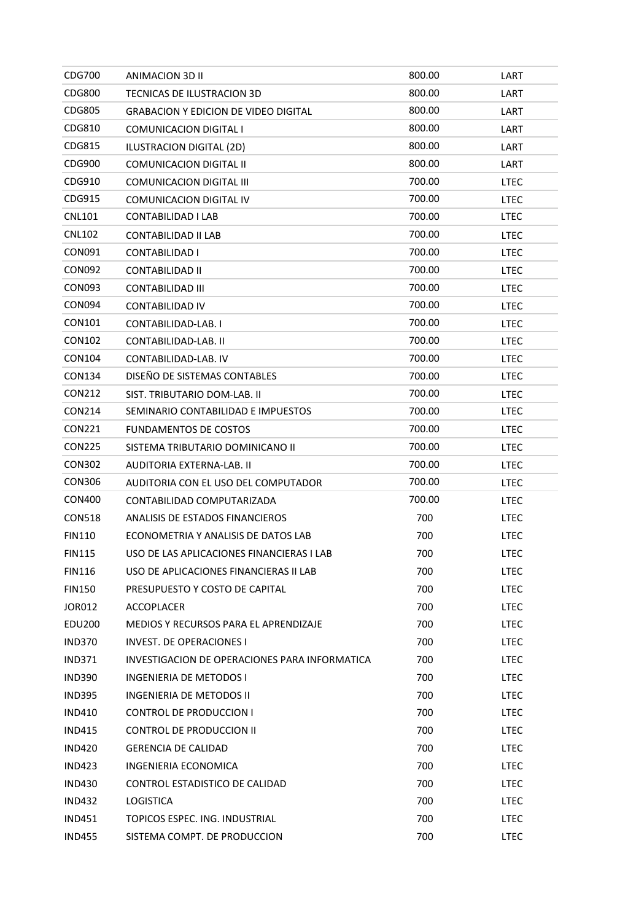| CDG700        | ANIMACION 3D II                               | 800.00 | LART        |
|---------------|-----------------------------------------------|--------|-------------|
| CDG800        | TECNICAS DE ILUSTRACION 3D                    | 800.00 | LART        |
| CDG805        | GRABACION Y EDICION DE VIDEO DIGITAL          | 800.00 | LART        |
| CDG810        | COMUNICACION DIGITAL I                        | 800.00 | LART        |
| CDG815        | ILUSTRACION DIGITAL (2D)                      | 800.00 | LART        |
| CDG900        | COMUNICACION DIGITAL II                       | 800.00 | LART        |
| CDG910        | <b>COMUNICACION DIGITAL III</b>               | 700.00 | LTEC        |
| CDG915        | COMUNICACION DIGITAL IV                       | 700.00 | LTEC        |
| <b>CNL101</b> | CONTABILIDAD I LAB                            | 700.00 | LTEC        |
| <b>CNL102</b> | CONTABILIDAD II LAB                           | 700.00 | LTEC        |
| CON091        | CONTABILIDAD I                                | 700.00 | LTEC        |
| <b>CON092</b> | CONTABILIDAD II                               | 700.00 | LTEC        |
| CON093        | CONTABILIDAD III                              | 700.00 | LTEC        |
| <b>CON094</b> | <b>CONTABILIDAD IV</b>                        | 700.00 | <b>LTEC</b> |
| CON101        | CONTABILIDAD-LAB. I                           | 700.00 | LTEC        |
| CON102        | CONTABILIDAD-LAB. II                          | 700.00 | LTEC        |
| CON104        | CONTABILIDAD-LAB. IV                          | 700.00 | <b>LTEC</b> |
| <b>CON134</b> | DISEÑO DE SISTEMAS CONTABLES                  | 700.00 | LTEC        |
| <b>CON212</b> | SIST. TRIBUTARIO DOM-LAB. II                  | 700.00 | LTEC        |
| CON214        | SEMINARIO CONTABILIDAD E IMPUESTOS            | 700.00 | LTEC        |
| CON221        | <b>FUNDAMENTOS DE COSTOS</b>                  | 700.00 | <b>LTEC</b> |
| <b>CON225</b> | SISTEMA TRIBUTARIO DOMINICANO II              | 700.00 | LTEC        |
| <b>CON302</b> | AUDITORIA EXTERNA-LAB. II                     | 700.00 | LTEC        |
| <b>CON306</b> | AUDITORIA CON EL USO DEL COMPUTADOR           | 700.00 | <b>LTEC</b> |
| <b>CON400</b> | CONTABILIDAD COMPUTARIZADA                    | 700.00 | LTEC        |
| <b>CON518</b> | ANALISIS DE ESTADOS FINANCIEROS               | 700    | <b>LTEC</b> |
| <b>FIN110</b> | ECONOMETRIA Y ANALISIS DE DATOS LAB           | 700    | <b>LTEC</b> |
| <b>FIN115</b> | USO DE LAS APLICACIONES FINANCIERAS I LAB     | 700    | <b>LTEC</b> |
| <b>FIN116</b> | USO DE APLICACIONES FINANCIERAS II LAB        | 700    | <b>LTEC</b> |
| <b>FIN150</b> | PRESUPUESTO Y COSTO DE CAPITAL                | 700    | <b>LTEC</b> |
| <b>JOR012</b> | <b>ACCOPLACER</b>                             | 700    | <b>LTEC</b> |
| EDU200        | MEDIOS Y RECURSOS PARA EL APRENDIZAJE         | 700    | <b>LTEC</b> |
| <b>IND370</b> | <b>INVEST. DE OPERACIONES I</b>               | 700    | <b>LTEC</b> |
| IND371        | INVESTIGACION DE OPERACIONES PARA INFORMATICA | 700    | LTEC        |
| <b>IND390</b> | <b>INGENIERIA DE METODOS I</b>                | 700    | <b>LTEC</b> |
| <b>IND395</b> | INGENIERIA DE METODOS II                      | 700    | <b>LTEC</b> |
| <b>IND410</b> | CONTROL DE PRODUCCION I                       | 700    | <b>LTEC</b> |
| <b>IND415</b> | <b>CONTROL DE PRODUCCION II</b>               | 700    | <b>LTEC</b> |
| <b>IND420</b> | <b>GERENCIA DE CALIDAD</b>                    | 700    | <b>LTEC</b> |
| <b>IND423</b> | INGENIERIA ECONOMICA                          | 700    | <b>LTEC</b> |
| <b>IND430</b> | CONTROL ESTADISTICO DE CALIDAD                | 700    | LTEC        |
| <b>IND432</b> | LOGISTICA                                     | 700    | <b>LTEC</b> |
| <b>IND451</b> | TOPICOS ESPEC. ING. INDUSTRIAL                | 700    | <b>LTEC</b> |
| <b>IND455</b> | SISTEMA COMPT. DE PRODUCCION                  | 700    | <b>LTEC</b> |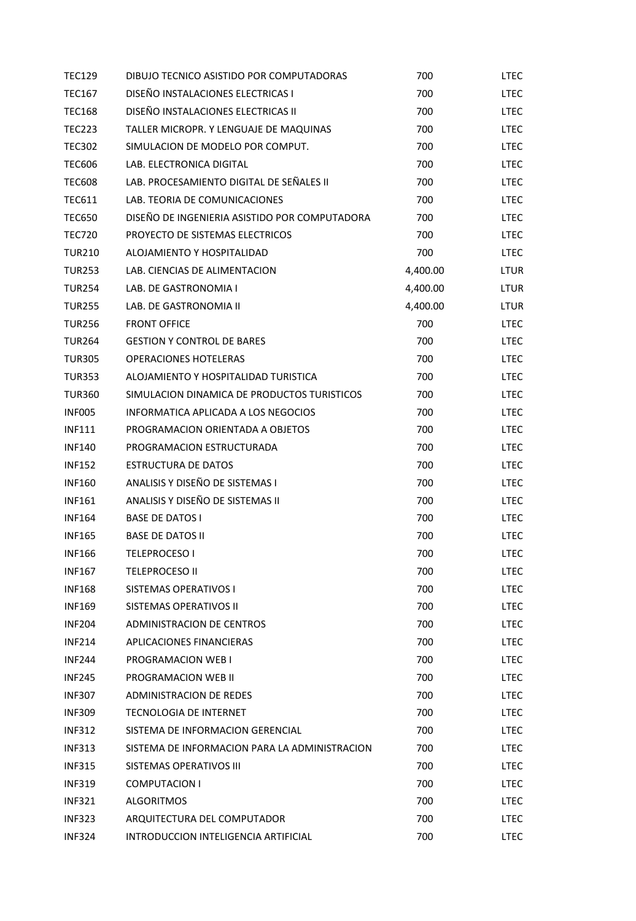| <b>TEC129</b> | DIBUJO TECNICO ASISTIDO POR COMPUTADORAS      | 700      | LTEC        |
|---------------|-----------------------------------------------|----------|-------------|
| <b>TEC167</b> | DISEÑO INSTALACIONES ELECTRICAS I             | 700      | <b>LTEC</b> |
| <b>TEC168</b> | DISEÑO INSTALACIONES ELECTRICAS II            | 700      | <b>LTEC</b> |
| <b>TEC223</b> | TALLER MICROPR. Y LENGUAJE DE MAQUINAS        | 700      | <b>LTEC</b> |
| <b>TEC302</b> | SIMULACION DE MODELO POR COMPUT.              | 700      | <b>LTEC</b> |
| <b>TEC606</b> | LAB. ELECTRONICA DIGITAL                      | 700      | <b>LTEC</b> |
| <b>TEC608</b> | LAB. PROCESAMIENTO DIGITAL DE SEÑALES II      | 700      | <b>LTEC</b> |
| <b>TEC611</b> | LAB. TEORIA DE COMUNICACIONES                 | 700      | <b>LTEC</b> |
| <b>TEC650</b> | DISEÑO DE INGENIERIA ASISTIDO POR COMPUTADORA | 700      | <b>LTEC</b> |
| <b>TEC720</b> | PROYECTO DE SISTEMAS ELECTRICOS               | 700      | <b>LTEC</b> |
| <b>TUR210</b> | ALOJAMIENTO Y HOSPITALIDAD                    | 700      | <b>LTEC</b> |
| <b>TUR253</b> | LAB. CIENCIAS DE ALIMENTACION                 | 4,400.00 | LTUR        |
| <b>TUR254</b> | LAB. DE GASTRONOMIA I                         | 4,400.00 | LTUR        |
| <b>TUR255</b> | LAB. DE GASTRONOMIA II                        | 4,400.00 | LTUR        |
| <b>TUR256</b> | <b>FRONT OFFICE</b>                           | 700      | <b>LTEC</b> |
| <b>TUR264</b> | <b>GESTION Y CONTROL DE BARES</b>             | 700      | <b>LTEC</b> |
| <b>TUR305</b> | <b>OPERACIONES HOTELERAS</b>                  | 700      | <b>LTEC</b> |
| <b>TUR353</b> | ALOJAMIENTO Y HOSPITALIDAD TURISTICA          | 700      | <b>LTEC</b> |
| <b>TUR360</b> | SIMULACION DINAMICA DE PRODUCTOS TURISTICOS   | 700      | <b>LTEC</b> |
| INFO05        | INFORMATICA APLICADA A LOS NEGOCIOS           | 700      | <b>LTEC</b> |
| <b>INF111</b> | PROGRAMACION ORIENTADA A OBJETOS              | 700      | <b>LTEC</b> |
| <b>INF140</b> | PROGRAMACION ESTRUCTURADA                     | 700      | <b>LTEC</b> |
| <b>INF152</b> | ESTRUCTURA DE DATOS                           | 700      | <b>LTEC</b> |
| <b>INF160</b> | ANALISIS Y DISEÑO DE SISTEMAS I               | 700      | <b>LTEC</b> |
| <b>INF161</b> | ANALISIS Y DISEÑO DE SISTEMAS II              | 700      | <b>LTEC</b> |
| <b>INF164</b> | <b>BASE DE DATOS I</b>                        | 700      | <b>LTEC</b> |
| <b>INF165</b> | <b>BASE DE DATOS II</b>                       | 700      | <b>LTEC</b> |
| <b>INF166</b> | <b>TELEPROCESO I</b>                          | 700      | <b>LTEC</b> |
| <b>INF167</b> | <b>TELEPROCESO II</b>                         | 700      | <b>LTEC</b> |
| <b>INF168</b> | SISTEMAS OPERATIVOS I                         | 700      | <b>LTEC</b> |
| <b>INF169</b> | SISTEMAS OPERATIVOS II                        | 700      | <b>LTEC</b> |
| <b>INF204</b> | <b>ADMINISTRACION DE CENTROS</b>              | 700      | <b>LTEC</b> |
| <b>INF214</b> | <b>APLICACIONES FINANCIERAS</b>               | 700      | <b>LTEC</b> |
| <b>INF244</b> | PROGRAMACION WEB I                            | 700      | LTEC        |
| <b>INF245</b> | PROGRAMACION WEB II                           | 700      | LTEC        |
| <b>INF307</b> | ADMINISTRACION DE REDES                       | 700      | <b>LTEC</b> |
| <b>INF309</b> | TECNOLOGIA DE INTERNET                        | 700      | <b>LTEC</b> |
| <b>INF312</b> | SISTEMA DE INFORMACION GERENCIAL              | 700      | <b>LTEC</b> |
| <b>INF313</b> | SISTEMA DE INFORMACION PARA LA ADMINISTRACION | 700      | <b>LTEC</b> |
| <b>INF315</b> | SISTEMAS OPERATIVOS III                       | 700      | <b>LTEC</b> |
| <b>INF319</b> | <b>COMPUTACION I</b>                          | 700      | <b>LTEC</b> |
| <b>INF321</b> | <b>ALGORITMOS</b>                             | 700      | <b>LTEC</b> |
| <b>INF323</b> | ARQUITECTURA DEL COMPUTADOR                   | 700      | <b>LTEC</b> |
| <b>INF324</b> | INTRODUCCION INTELIGENCIA ARTIFICIAL          | 700      | <b>LTEC</b> |